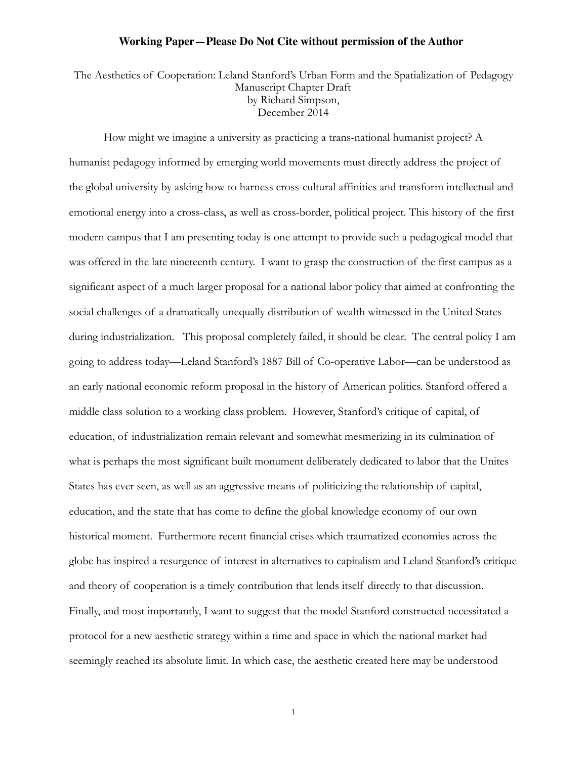The Aesthetics of Cooperation: Leland Stanford's Urban Form and the Spatialization of Pedagogy Manuscript Chapter Draft by Richard Simpson, December 2014

How might we imagine a university as practicing a trans-national humanist project? A humanist pedagogy informed by emerging world movements must directly address the project of the global university by asking how to harness cross-cultural affinities and transform intellectual and emotional energy into a cross-class, as well as cross-border, political project. This history of the first modern campus that I am presenting today is one attempt to provide such a pedagogical model that was offered in the late nineteenth century. I want to grasp the construction of the first campus as a significant aspect of a much larger proposal for a national labor policy that aimed at confronting the social challenges of a dramatically unequally distribution of wealth witnessed in the United States during industrialization. This proposal completely failed, it should be clear. The central policy I am going to address today—Leland Stanford's 1887 Bill of Co-operative Labor—can be understood as an early national economic reform proposal in the history of American politics. Stanford offered a middle class solution to a working class problem. However, Stanford's critique of capital, of education, of industrialization remain relevant and somewhat mesmerizing in its culmination of what is perhaps the most significant built monument deliberately dedicated to labor that the Unites States has ever seen, as well as an aggressive means of politicizing the relationship of capital, education, and the state that has come to define the global knowledge economy of our own historical moment. Furthermore recent financial crises which traumatized economies across the globe has inspired a resurgence of interest in alternatives to capitalism and Leland Stanford's critique and theory of cooperation is a timely contribution that lends itself directly to that discussion. Finally, and most importantly, I want to suggest that the model Stanford constructed necessitated a protocol for a new aesthetic strategy within a time and space in which the national market had seemingly reached its absolute limit. In which case, the aesthetic created here may be understood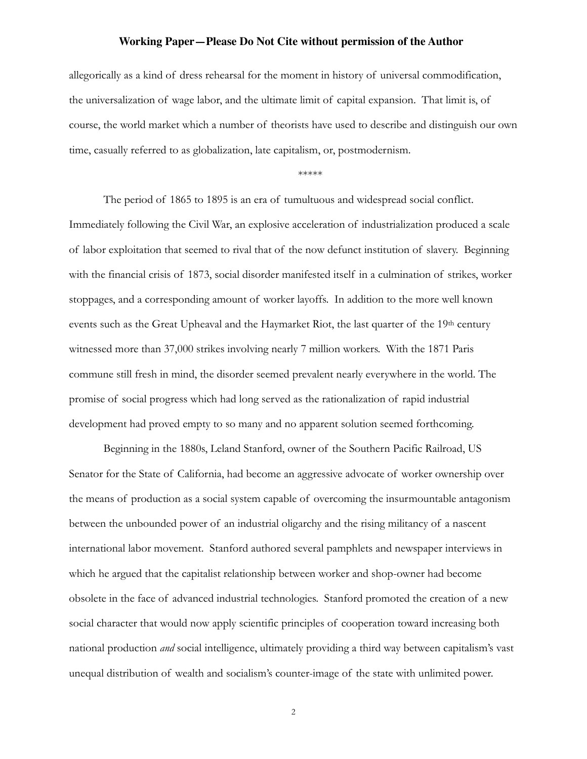allegorically as a kind of dress rehearsal for the moment in history of universal commodification, the universalization of wage labor, and the ultimate limit of capital expansion. That limit is, of course, the world market which a number of theorists have used to describe and distinguish our own time, casually referred to as globalization, late capitalism, or, postmodernism.

\*\*\*\*\*

The period of 1865 to 1895 is an era of tumultuous and widespread social conflict. Immediately following the Civil War, an explosive acceleration of industrialization produced a scale of labor exploitation that seemed to rival that of the now defunct institution of slavery. Beginning with the financial crisis of 1873, social disorder manifested itself in a culmination of strikes, worker stoppages, and a corresponding amount of worker layoffs. In addition to the more well known events such as the Great Upheaval and the Haymarket Riot, the last quarter of the 19<sup>th</sup> century witnessed more than 37,000 strikes involving nearly 7 million workers. With the 1871 Paris commune still fresh in mind, the disorder seemed prevalent nearly everywhere in the world. The promise of social progress which had long served as the rationalization of rapid industrial development had proved empty to so many and no apparent solution seemed forthcoming.

Beginning in the 1880s, Leland Stanford, owner of the Southern Pacific Railroad, US Senator for the State of California, had become an aggressive advocate of worker ownership over the means of production as a social system capable of overcoming the insurmountable antagonism between the unbounded power of an industrial oligarchy and the rising militancy of a nascent international labor movement. Stanford authored several pamphlets and newspaper interviews in which he argued that the capitalist relationship between worker and shop-owner had become obsolete in the face of advanced industrial technologies. Stanford promoted the creation of a new social character that would now apply scientific principles of cooperation toward increasing both national production *and* social intelligence, ultimately providing a third way between capitalism's vast unequal distribution of wealth and socialism's counter-image of the state with unlimited power.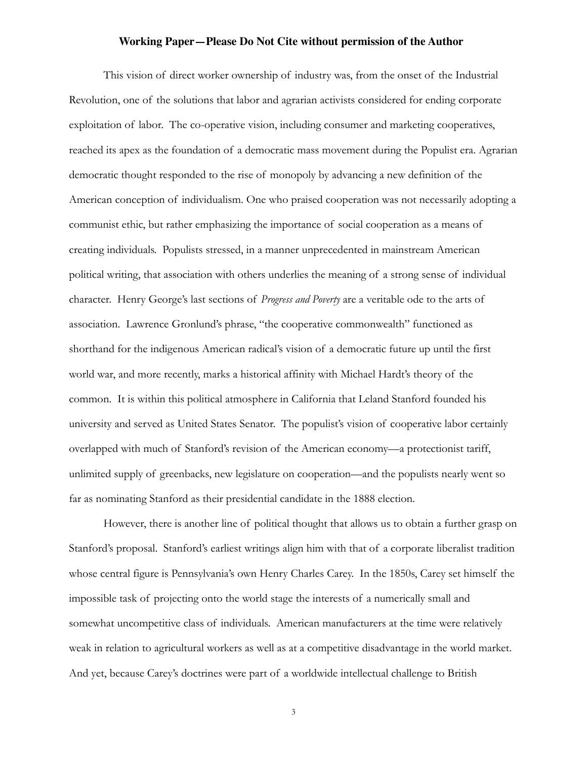This vision of direct worker ownership of industry was, from the onset of the Industrial Revolution, one of the solutions that labor and agrarian activists considered for ending corporate exploitation of labor. The co-operative vision, including consumer and marketing cooperatives, reached its apex as the foundation of a democratic mass movement during the Populist era. Agrarian democratic thought responded to the rise of monopoly by advancing a new definition of the American conception of individualism. One who praised cooperation was not necessarily adopting a communist ethic, but rather emphasizing the importance of social cooperation as a means of creating individuals. Populists stressed, in a manner unprecedented in mainstream American political writing, that association with others underlies the meaning of a strong sense of individual character. Henry George's last sections of *Progress and Poverty* are a veritable ode to the arts of association. Lawrence Gronlund's phrase, "the cooperative commonwealth" functioned as shorthand for the indigenous American radical's vision of a democratic future up until the first world war, and more recently, marks a historical affinity with Michael Hardt's theory of the common. It is within this political atmosphere in California that Leland Stanford founded his university and served as United States Senator. The populist's vision of cooperative labor certainly overlapped with much of Stanford's revision of the American economy—a protectionist tariff, unlimited supply of greenbacks, new legislature on cooperation—and the populists nearly went so far as nominating Stanford as their presidential candidate in the 1888 election.

However, there is another line of political thought that allows us to obtain a further grasp on Stanford's proposal. Stanford's earliest writings align him with that of a corporate liberalist tradition whose central figure is Pennsylvania's own Henry Charles Carey. In the 1850s, Carey set himself the impossible task of projecting onto the world stage the interests of a numerically small and somewhat uncompetitive class of individuals. American manufacturers at the time were relatively weak in relation to agricultural workers as well as at a competitive disadvantage in the world market. And yet, because Carey's doctrines were part of a worldwide intellectual challenge to British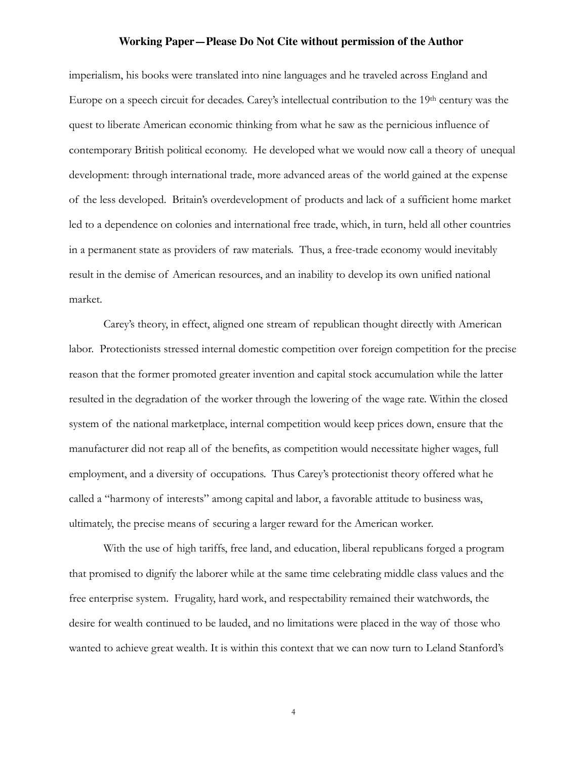imperialism, his books were translated into nine languages and he traveled across England and Europe on a speech circuit for decades. Carey's intellectual contribution to the 19th century was the quest to liberate American economic thinking from what he saw as the pernicious influence of contemporary British political economy. He developed what we would now call a theory of unequal development: through international trade, more advanced areas of the world gained at the expense of the less developed. Britain's overdevelopment of products and lack of a sufficient home market led to a dependence on colonies and international free trade, which, in turn, held all other countries in a permanent state as providers of raw materials. Thus, a free-trade economy would inevitably result in the demise of American resources, and an inability to develop its own unified national market.

Carey's theory, in effect, aligned one stream of republican thought directly with American labor. Protectionists stressed internal domestic competition over foreign competition for the precise reason that the former promoted greater invention and capital stock accumulation while the latter resulted in the degradation of the worker through the lowering of the wage rate. Within the closed system of the national marketplace, internal competition would keep prices down, ensure that the manufacturer did not reap all of the benefits, as competition would necessitate higher wages, full employment, and a diversity of occupations. Thus Carey's protectionist theory offered what he called a "harmony of interests" among capital and labor, a favorable attitude to business was, ultimately, the precise means of securing a larger reward for the American worker.

With the use of high tariffs, free land, and education, liberal republicans forged a program that promised to dignify the laborer while at the same time celebrating middle class values and the free enterprise system. Frugality, hard work, and respectability remained their watchwords, the desire for wealth continued to be lauded, and no limitations were placed in the way of those who wanted to achieve great wealth. It is within this context that we can now turn to Leland Stanford's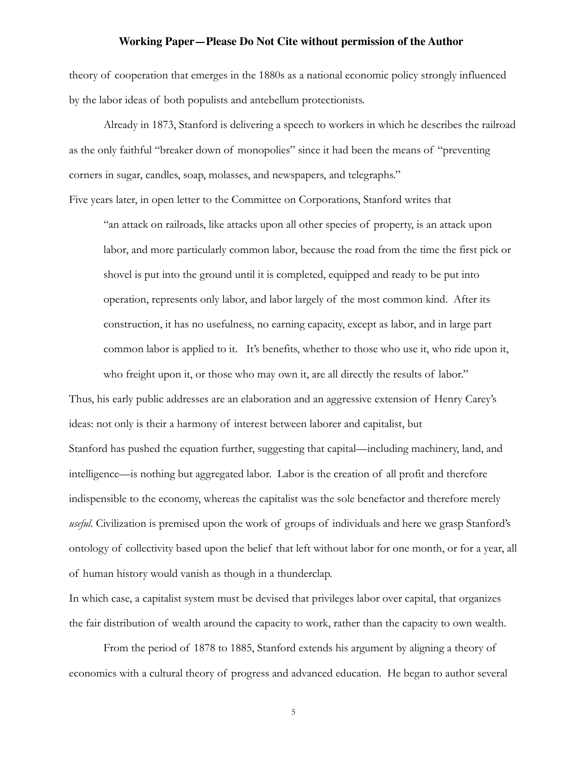theory of cooperation that emerges in the 1880s as a national economic policy strongly influenced by the labor ideas of both populists and antebellum protectionists.

Already in 1873, Stanford is delivering a speech to workers in which he describes the railroad as the only faithful "breaker down of monopolies" since it had been the means of "preventing corners in sugar, candles, soap, molasses, and newspapers, and telegraphs."

Five years later, in open letter to the Committee on Corporations, Stanford writes that

"an attack on railroads, like attacks upon all other species of property, is an attack upon labor, and more particularly common labor, because the road from the time the first pick or shovel is put into the ground until it is completed, equipped and ready to be put into operation, represents only labor, and labor largely of the most common kind. After its construction, it has no usefulness, no earning capacity, except as labor, and in large part common labor is applied to it. It's benefits, whether to those who use it, who ride upon it, who freight upon it, or those who may own it, are all directly the results of labor."

Thus, his early public addresses are an elaboration and an aggressive extension of Henry Carey's ideas: not only is their a harmony of interest between laborer and capitalist, but Stanford has pushed the equation further, suggesting that capital—including machinery, land, and intelligence—is nothing but aggregated labor. Labor is the creation of all profit and therefore indispensible to the economy, whereas the capitalist was the sole benefactor and therefore merely *useful*. Civilization is premised upon the work of groups of individuals and here we grasp Stanford's ontology of collectivity based upon the belief that left without labor for one month, or for a year, all of human history would vanish as though in a thunderclap.

In which case, a capitalist system must be devised that privileges labor over capital, that organizes the fair distribution of wealth around the capacity to work, rather than the capacity to own wealth.

From the period of 1878 to 1885, Stanford extends his argument by aligning a theory of economics with a cultural theory of progress and advanced education. He began to author several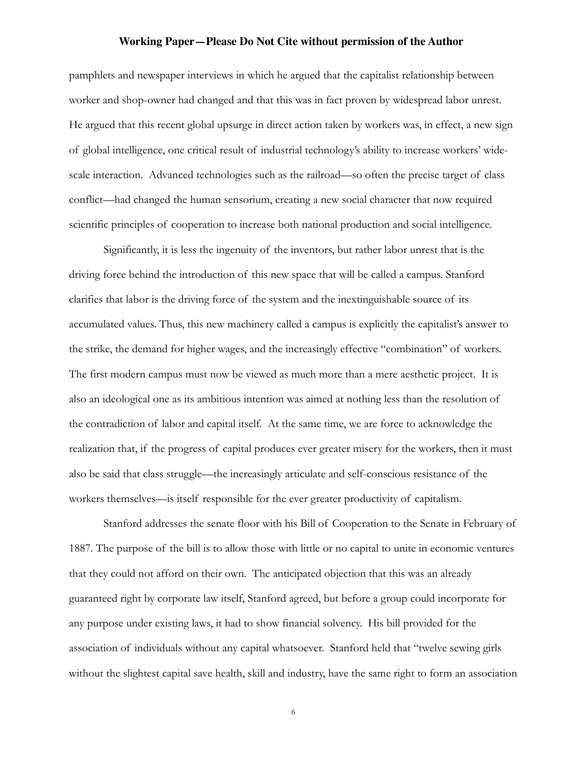pamphlets and newspaper interviews in which he argued that the capitalist relationship between worker and shop-owner had changed and that this was in fact proven by widespread labor unrest. He argued that this recent global upsurge in direct action taken by workers was, in effect, a new sign of global intelligence, one critical result of industrial technology's ability to increase workers' widescale interaction. Advanced technologies such as the railroad—so often the precise target of class conflict—had changed the human sensorium, creating a new social character that now required scientific principles of cooperation to increase both national production and social intelligence.

Significantly, it is less the ingenuity of the inventors, but rather labor unrest that is the driving force behind the introduction of this new space that will be called a campus. Stanford clarifies that labor is the driving force of the system and the inextinguishable source of its accumulated values. Thus, this new machinery called a campus is explicitly the capitalist's answer to the strike, the demand for higher wages, and the increasingly effective "combination" of workers. The first modern campus must now be viewed as much more than a mere aesthetic project. It is also an ideological one as its ambitious intention was aimed at nothing less than the resolution of the contradiction of labor and capital itself. At the same time, we are force to acknowledge the realization that, if the progress of capital produces ever greater misery for the workers, then it must also be said that class struggle—the increasingly articulate and self-conscious resistance of the workers themselves—is itself responsible for the ever greater productivity of capitalism.

Stanford addresses the senate floor with his Bill of Cooperation to the Senate in February of 1887. The purpose of the bill is to allow those with little or no capital to unite in economic ventures that they could not afford on their own. The anticipated objection that this was an already guaranteed right by corporate law itself, Stanford agreed, but before a group could incorporate for any purpose under existing laws, it had to show financial solvency. His bill provided for the association of individuals without any capital whatsoever. Stanford held that "twelve sewing girls without the slightest capital save health, skill and industry, have the same right to form an association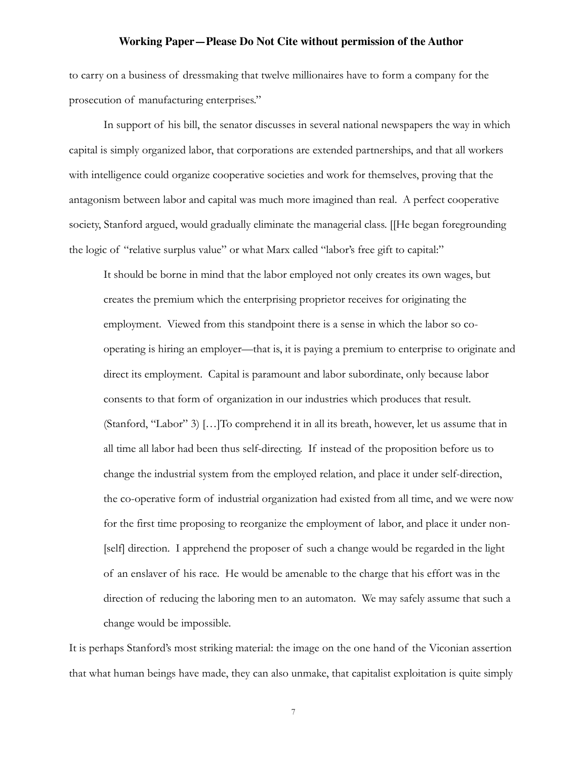to carry on a business of dressmaking that twelve millionaires have to form a company for the prosecution of manufacturing enterprises."

 In support of his bill, the senator discusses in several national newspapers the way in which capital is simply organized labor, that corporations are extended partnerships, and that all workers with intelligence could organize cooperative societies and work for themselves, proving that the antagonism between labor and capital was much more imagined than real. A perfect cooperative society, Stanford argued, would gradually eliminate the managerial class. [[He began foregrounding the logic of "relative surplus value" or what Marx called "labor's free gift to capital:"

It should be borne in mind that the labor employed not only creates its own wages, but creates the premium which the enterprising proprietor receives for originating the employment. Viewed from this standpoint there is a sense in which the labor so cooperating is hiring an employer—that is, it is paying a premium to enterprise to originate and direct its employment. Capital is paramount and labor subordinate, only because labor consents to that form of organization in our industries which produces that result. (Stanford, "Labor" 3) […]To comprehend it in all its breath, however, let us assume that in all time all labor had been thus self-directing. If instead of the proposition before us to change the industrial system from the employed relation, and place it under self-direction, the co-operative form of industrial organization had existed from all time, and we were now for the first time proposing to reorganize the employment of labor, and place it under non- [self] direction. I apprehend the proposer of such a change would be regarded in the light of an enslaver of his race. He would be amenable to the charge that his effort was in the direction of reducing the laboring men to an automaton. We may safely assume that such a change would be impossible.

It is perhaps Stanford's most striking material: the image on the one hand of the Viconian assertion that what human beings have made, they can also unmake, that capitalist exploitation is quite simply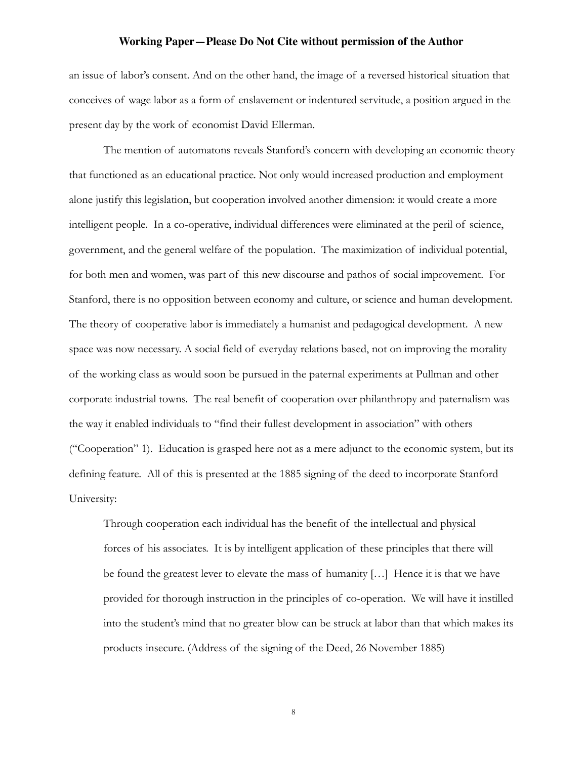an issue of labor's consent. And on the other hand, the image of a reversed historical situation that conceives of wage labor as a form of enslavement or indentured servitude, a position argued in the present day by the work of economist David Ellerman.

The mention of automatons reveals Stanford's concern with developing an economic theory that functioned as an educational practice. Not only would increased production and employment alone justify this legislation, but cooperation involved another dimension: it would create a more intelligent people. In a co-operative, individual differences were eliminated at the peril of science, government, and the general welfare of the population. The maximization of individual potential, for both men and women, was part of this new discourse and pathos of social improvement. For Stanford, there is no opposition between economy and culture, or science and human development. The theory of cooperative labor is immediately a humanist and pedagogical development. A new space was now necessary. A social field of everyday relations based, not on improving the morality of the working class as would soon be pursued in the paternal experiments at Pullman and other corporate industrial towns. The real benefit of cooperation over philanthropy and paternalism was the way it enabled individuals to "find their fullest development in association" with others ("Cooperation" 1). Education is grasped here not as a mere adjunct to the economic system, but its defining feature. All of this is presented at the 1885 signing of the deed to incorporate Stanford University:

Through cooperation each individual has the benefit of the intellectual and physical forces of his associates. It is by intelligent application of these principles that there will be found the greatest lever to elevate the mass of humanity […] Hence it is that we have provided for thorough instruction in the principles of co-operation. We will have it instilled into the student's mind that no greater blow can be struck at labor than that which makes its products insecure. (Address of the signing of the Deed, 26 November 1885)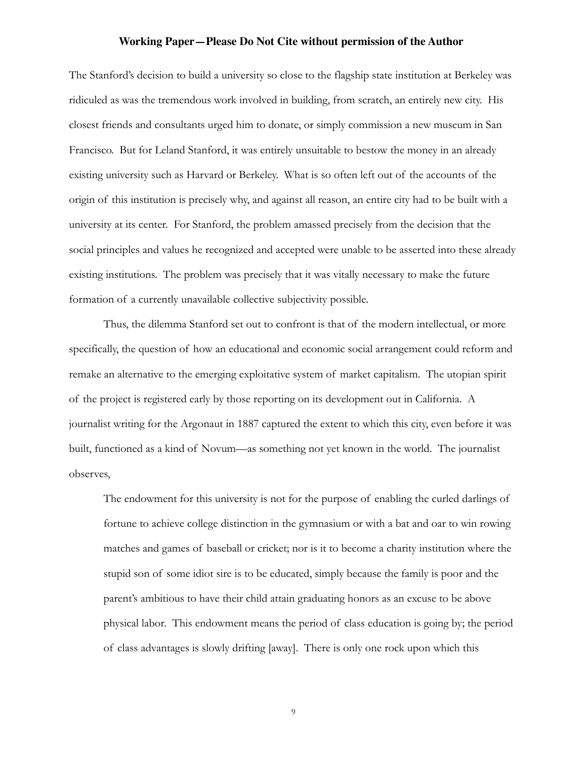The Stanford's decision to build a university so close to the flagship state institution at Berkeley was ridiculed as was the tremendous work involved in building, from scratch, an entirely new city. His closest friends and consultants urged him to donate, or simply commission a new museum in San Francisco. But for Leland Stanford, it was entirely unsuitable to bestow the money in an already existing university such as Harvard or Berkeley. What is so often left out of the accounts of the origin of this institution is precisely why, and against all reason, an entire city had to be built with a university at its center. For Stanford, the problem amassed precisely from the decision that the social principles and values he recognized and accepted were unable to be asserted into these already existing institutions. The problem was precisely that it was vitally necessary to make the future formation of a currently unavailable collective subjectivity possible.

Thus, the dilemma Stanford set out to confront is that of the modern intellectual, or more specifically, the question of how an educational and economic social arrangement could reform and remake an alternative to the emerging exploitative system of market capitalism. The utopian spirit of the project is registered early by those reporting on its development out in California. A journalist writing for the Argonaut in 1887 captured the extent to which this city, even before it was built, functioned as a kind of Novum—as something not yet known in the world. The journalist observes,

The endowment for this university is not for the purpose of enabling the curled darlings of fortune to achieve college distinction in the gymnasium or with a bat and oar to win rowing matches and games of baseball or cricket; nor is it to become a charity institution where the stupid son of some idiot sire is to be educated, simply because the family is poor and the parent's ambitious to have their child attain graduating honors as an excuse to be above physical labor. This endowment means the period of class education is going by; the period of class advantages is slowly drifting [away]. There is only one rock upon which this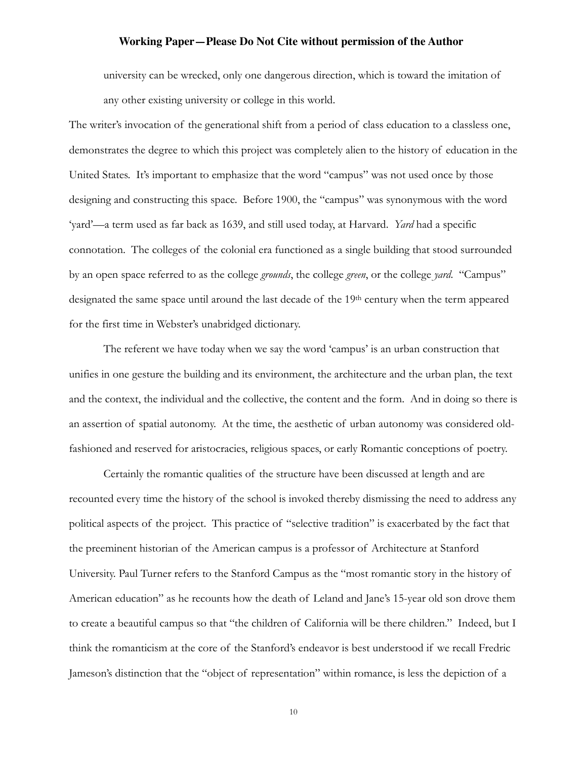university can be wrecked, only one dangerous direction, which is toward the imitation of any other existing university or college in this world.

The writer's invocation of the generational shift from a period of class education to a classless one, demonstrates the degree to which this project was completely alien to the history of education in the United States. It's important to emphasize that the word "campus" was not used once by those designing and constructing this space. Before 1900, the "campus" was synonymous with the word 'yard'—a term used as far back as 1639, and still used today, at Harvard. *Yard* had a specific connotation. The colleges of the colonial era functioned as a single building that stood surrounded by an open space referred to as the college *grounds*, the college *green*, or the college *yard*. "Campus" designated the same space until around the last decade of the 19th century when the term appeared for the first time in Webster's unabridged dictionary.

The referent we have today when we say the word 'campus' is an urban construction that unifies in one gesture the building and its environment, the architecture and the urban plan, the text and the context, the individual and the collective, the content and the form. And in doing so there is an assertion of spatial autonomy. At the time, the aesthetic of urban autonomy was considered oldfashioned and reserved for aristocracies, religious spaces, or early Romantic conceptions of poetry.

Certainly the romantic qualities of the structure have been discussed at length and are recounted every time the history of the school is invoked thereby dismissing the need to address any political aspects of the project. This practice of "selective tradition" is exacerbated by the fact that the preeminent historian of the American campus is a professor of Architecture at Stanford University. Paul Turner refers to the Stanford Campus as the "most romantic story in the history of American education" as he recounts how the death of Leland and Jane's 15-year old son drove them to create a beautiful campus so that "the children of California will be there children." Indeed, but I think the romanticism at the core of the Stanford's endeavor is best understood if we recall Fredric Jameson's distinction that the "object of representation" within romance, is less the depiction of a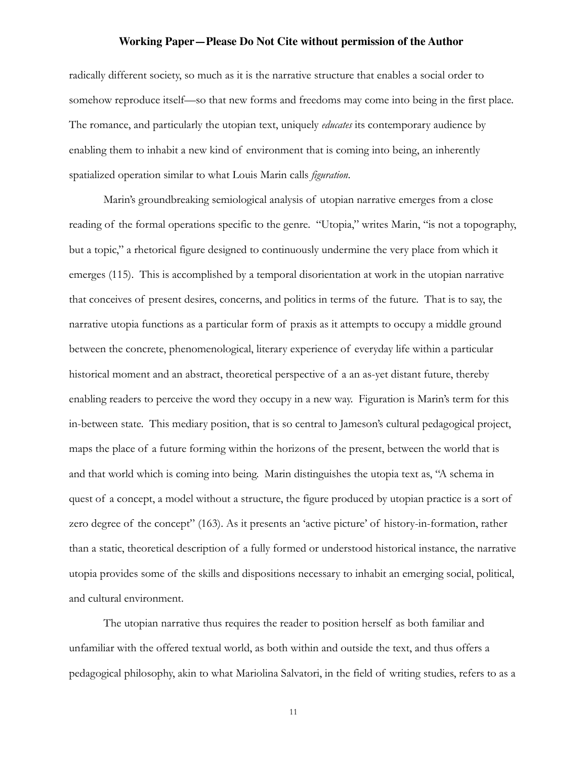radically different society, so much as it is the narrative structure that enables a social order to somehow reproduce itself—so that new forms and freedoms may come into being in the first place. The romance, and particularly the utopian text, uniquely *educates* its contemporary audience by enabling them to inhabit a new kind of environment that is coming into being, an inherently spatialized operation similar to what Louis Marin calls *figuration*.

Marin's groundbreaking semiological analysis of utopian narrative emerges from a close reading of the formal operations specific to the genre. "Utopia," writes Marin, "is not a topography, but a topic," a rhetorical figure designed to continuously undermine the very place from which it emerges (115). This is accomplished by a temporal disorientation at work in the utopian narrative that conceives of present desires, concerns, and politics in terms of the future. That is to say, the narrative utopia functions as a particular form of praxis as it attempts to occupy a middle ground between the concrete, phenomenological, literary experience of everyday life within a particular historical moment and an abstract, theoretical perspective of a an as-yet distant future, thereby enabling readers to perceive the word they occupy in a new way. Figuration is Marin's term for this in-between state. This mediary position, that is so central to Jameson's cultural pedagogical project, maps the place of a future forming within the horizons of the present, between the world that is and that world which is coming into being. Marin distinguishes the utopia text as, "A schema in quest of a concept, a model without a structure, the figure produced by utopian practice is a sort of zero degree of the concept" (163). As it presents an 'active picture' of history-in-formation, rather than a static, theoretical description of a fully formed or understood historical instance, the narrative utopia provides some of the skills and dispositions necessary to inhabit an emerging social, political, and cultural environment.

The utopian narrative thus requires the reader to position herself as both familiar and unfamiliar with the offered textual world, as both within and outside the text, and thus offers a pedagogical philosophy, akin to what Mariolina Salvatori, in the field of writing studies, refers to as a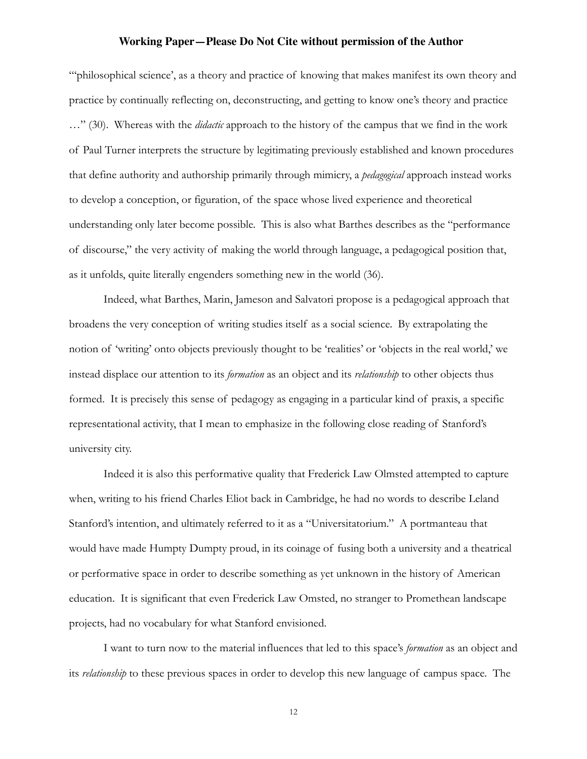"'philosophical science', as a theory and practice of knowing that makes manifest its own theory and practice by continually reflecting on, deconstructing, and getting to know one's theory and practice …" (30). Whereas with the *didactic* approach to the history of the campus that we find in the work of Paul Turner interprets the structure by legitimating previously established and known procedures that define authority and authorship primarily through mimicry, a *pedagogical* approach instead works to develop a conception, or figuration, of the space whose lived experience and theoretical understanding only later become possible. This is also what Barthes describes as the "performance of discourse," the very activity of making the world through language, a pedagogical position that, as it unfolds, quite literally engenders something new in the world (36).

Indeed, what Barthes, Marin, Jameson and Salvatori propose is a pedagogical approach that broadens the very conception of writing studies itself as a social science. By extrapolating the notion of 'writing' onto objects previously thought to be 'realities' or 'objects in the real world,' we instead displace our attention to its *formation* as an object and its *relationship* to other objects thus formed. It is precisely this sense of pedagogy as engaging in a particular kind of praxis, a specific representational activity, that I mean to emphasize in the following close reading of Stanford's university city.

 Indeed it is also this performative quality that Frederick Law Olmsted attempted to capture when, writing to his friend Charles Eliot back in Cambridge, he had no words to describe Leland Stanford's intention, and ultimately referred to it as a "Universitatorium." A portmanteau that would have made Humpty Dumpty proud, in its coinage of fusing both a university and a theatrical or performative space in order to describe something as yet unknown in the history of American education. It is significant that even Frederick Law Omsted, no stranger to Promethean landscape projects, had no vocabulary for what Stanford envisioned.

I want to turn now to the material influences that led to this space's *formation* as an object and its *relationship* to these previous spaces in order to develop this new language of campus space. The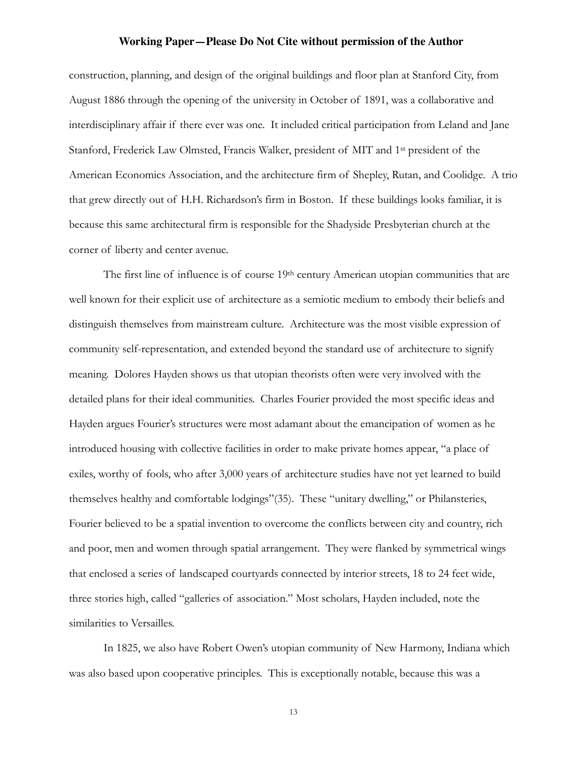construction, planning, and design of the original buildings and floor plan at Stanford City, from August 1886 through the opening of the university in October of 1891, was a collaborative and interdisciplinary affair if there ever was one. It included critical participation from Leland and Jane Stanford, Frederick Law Olmsted, Francis Walker, president of MIT and 1st president of the American Economics Association, and the architecture firm of Shepley, Rutan, and Coolidge. A trio that grew directly out of H.H. Richardson's firm in Boston. If these buildings looks familiar, it is because this same architectural firm is responsible for the Shadyside Presbyterian church at the corner of liberty and center avenue.

The first line of influence is of course  $19<sup>th</sup>$  century American utopian communities that are well known for their explicit use of architecture as a semiotic medium to embody their beliefs and distinguish themselves from mainstream culture. Architecture was the most visible expression of community self-representation, and extended beyond the standard use of architecture to signify meaning. Dolores Hayden shows us that utopian theorists often were very involved with the detailed plans for their ideal communities. Charles Fourier provided the most specific ideas and Hayden argues Fourier's structures were most adamant about the emancipation of women as he introduced housing with collective facilities in order to make private homes appear, "a place of exiles, worthy of fools, who after 3,000 years of architecture studies have not yet learned to build themselves healthy and comfortable lodgings"(35). These "unitary dwelling," or Philansteries, Fourier believed to be a spatial invention to overcome the conflicts between city and country, rich and poor, men and women through spatial arrangement. They were flanked by symmetrical wings that enclosed a series of landscaped courtyards connected by interior streets, 18 to 24 feet wide, three stories high, called "galleries of association." Most scholars, Hayden included, note the similarities to Versailles.

In 1825, we also have Robert Owen's utopian community of New Harmony, Indiana which was also based upon cooperative principles. This is exceptionally notable, because this was a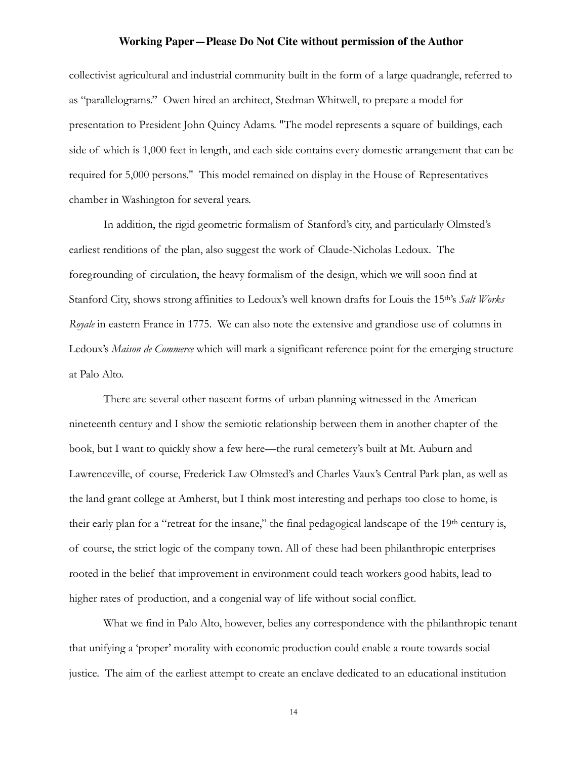collectivist agricultural and industrial community built in the form of a large quadrangle, referred to as "parallelograms." Owen hired an architect, Stedman Whitwell, to prepare a model for presentation to President John Quincy Adams. "The model represents a square of buildings, each side of which is 1,000 feet in length, and each side contains every domestic arrangement that can be required for 5,000 persons." This model remained on display in the House of Representatives chamber in Washington for several years.

In addition, the rigid geometric formalism of Stanford's city, and particularly Olmsted's earliest renditions of the plan, also suggest the work of Claude-Nicholas Ledoux. The foregrounding of circulation, the heavy formalism of the design, which we will soon find at Stanford City, shows strong affinities to Ledoux's well known drafts for Louis the 15th's *Salt Works Royale* in eastern France in 1775. We can also note the extensive and grandiose use of columns in Ledoux's *Maison de Commerce* which will mark a significant reference point for the emerging structure at Palo Alto.

There are several other nascent forms of urban planning witnessed in the American nineteenth century and I show the semiotic relationship between them in another chapter of the book, but I want to quickly show a few here—the rural cemetery's built at Mt. Auburn and Lawrenceville, of course, Frederick Law Olmsted's and Charles Vaux's Central Park plan, as well as the land grant college at Amherst, but I think most interesting and perhaps too close to home, is their early plan for a "retreat for the insane," the final pedagogical landscape of the 19<sup>th</sup> century is, of course, the strict logic of the company town. All of these had been philanthropic enterprises rooted in the belief that improvement in environment could teach workers good habits, lead to higher rates of production, and a congenial way of life without social conflict.

What we find in Palo Alto, however, belies any correspondence with the philanthropic tenant that unifying a 'proper' morality with economic production could enable a route towards social justice. The aim of the earliest attempt to create an enclave dedicated to an educational institution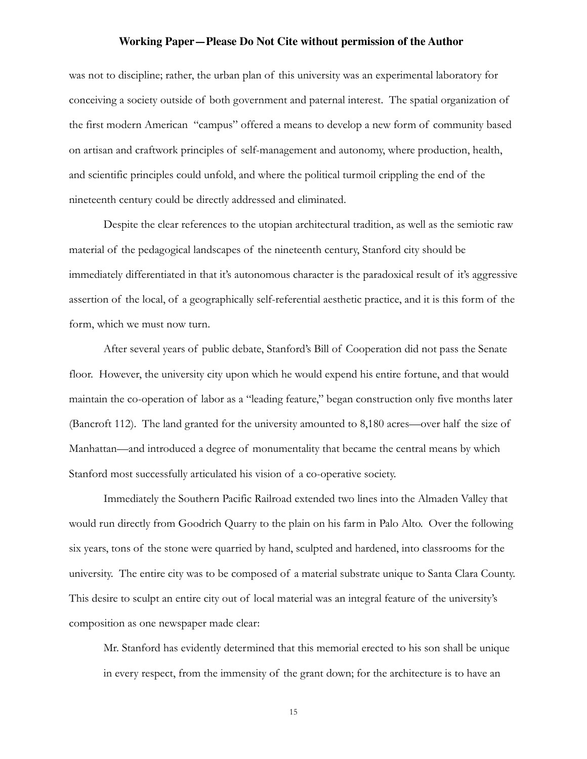was not to discipline; rather, the urban plan of this university was an experimental laboratory for conceiving a society outside of both government and paternal interest. The spatial organization of the first modern American "campus" offered a means to develop a new form of community based on artisan and craftwork principles of self-management and autonomy, where production, health, and scientific principles could unfold, and where the political turmoil crippling the end of the nineteenth century could be directly addressed and eliminated.

Despite the clear references to the utopian architectural tradition, as well as the semiotic raw material of the pedagogical landscapes of the nineteenth century, Stanford city should be immediately differentiated in that it's autonomous character is the paradoxical result of it's aggressive assertion of the local, of a geographically self-referential aesthetic practice, and it is this form of the form, which we must now turn.

After several years of public debate, Stanford's Bill of Cooperation did not pass the Senate floor. However, the university city upon which he would expend his entire fortune, and that would maintain the co-operation of labor as a "leading feature," began construction only five months later (Bancroft 112). The land granted for the university amounted to 8,180 acres—over half the size of Manhattan—and introduced a degree of monumentality that became the central means by which Stanford most successfully articulated his vision of a co-operative society.

 Immediately the Southern Pacific Railroad extended two lines into the Almaden Valley that would run directly from Goodrich Quarry to the plain on his farm in Palo Alto. Over the following six years, tons of the stone were quarried by hand, sculpted and hardened, into classrooms for the university. The entire city was to be composed of a material substrate unique to Santa Clara County. This desire to sculpt an entire city out of local material was an integral feature of the university's composition as one newspaper made clear:

Mr. Stanford has evidently determined that this memorial erected to his son shall be unique in every respect, from the immensity of the grant down; for the architecture is to have an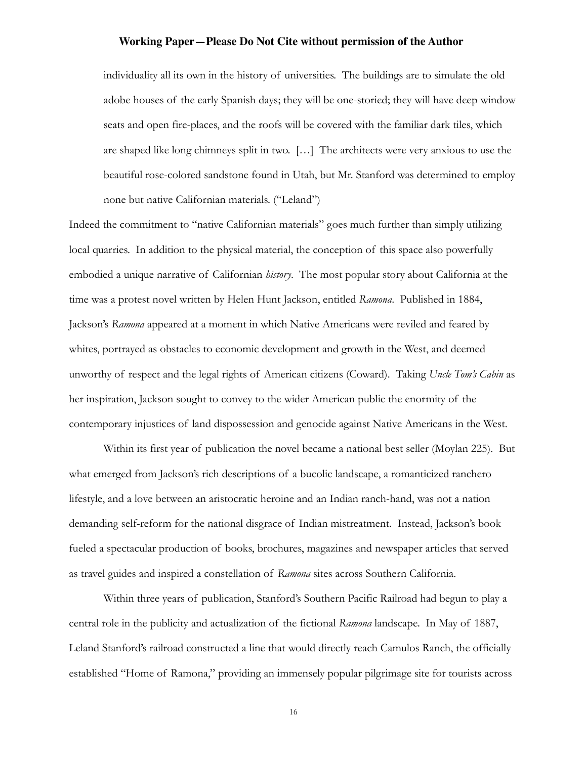individuality all its own in the history of universities. The buildings are to simulate the old adobe houses of the early Spanish days; they will be one-storied; they will have deep window seats and open fire-places, and the roofs will be covered with the familiar dark tiles, which are shaped like long chimneys split in two. […] The architects were very anxious to use the beautiful rose-colored sandstone found in Utah, but Mr. Stanford was determined to employ none but native Californian materials. ("Leland")

Indeed the commitment to "native Californian materials" goes much further than simply utilizing local quarries. In addition to the physical material, the conception of this space also powerfully embodied a unique narrative of Californian *history*. The most popular story about California at the time was a protest novel written by Helen Hunt Jackson, entitled *Ramona*. Published in 1884, Jackson's *Ramona* appeared at a moment in which Native Americans were reviled and feared by whites, portrayed as obstacles to economic development and growth in the West, and deemed unworthy of respect and the legal rights of American citizens (Coward). Taking *Uncle Tom's Cabin* as her inspiration, Jackson sought to convey to the wider American public the enormity of the contemporary injustices of land dispossession and genocide against Native Americans in the West.

Within its first year of publication the novel became a national best seller (Moylan 225). But what emerged from Jackson's rich descriptions of a bucolic landscape, a romanticized ranchero lifestyle, and a love between an aristocratic heroine and an Indian ranch-hand, was not a nation demanding self-reform for the national disgrace of Indian mistreatment. Instead, Jackson's book fueled a spectacular production of books, brochures, magazines and newspaper articles that served as travel guides and inspired a constellation of *Ramona* sites across Southern California.

Within three years of publication, Stanford's Southern Pacific Railroad had begun to play a central role in the publicity and actualization of the fictional *Ramona* landscape. In May of 1887, Leland Stanford's railroad constructed a line that would directly reach Camulos Ranch, the officially established "Home of Ramona," providing an immensely popular pilgrimage site for tourists across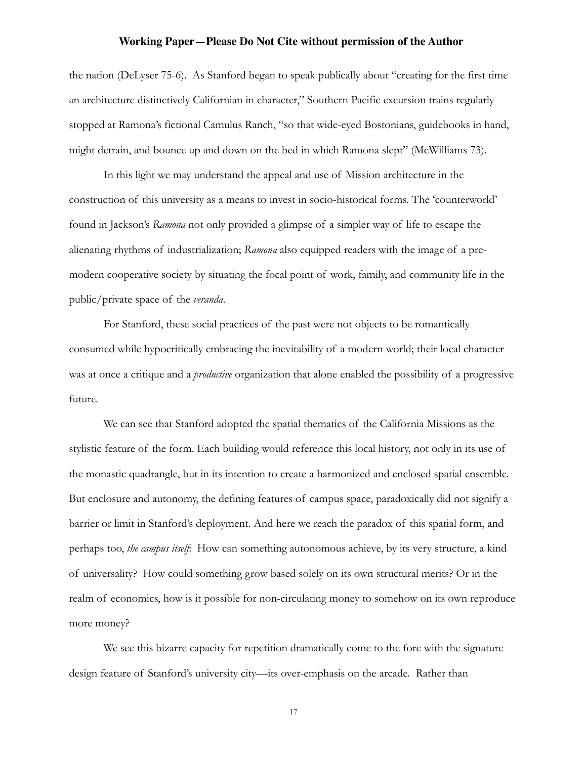the nation (DeLyser 75-6). As Stanford began to speak publically about "creating for the first time an architecture distinctively Californian in character," Southern Pacific excursion trains regularly stopped at Ramona's fictional Camulus Ranch, "so that wide-eyed Bostonians, guidebooks in hand, might detrain, and bounce up and down on the bed in which Ramona slept" (McWilliams 73).

In this light we may understand the appeal and use of Mission architecture in the construction of this university as a means to invest in socio-historical forms. The 'counterworld' found in Jackson's *Ramona* not only provided a glimpse of a simpler way of life to escape the alienating rhythms of industrialization; *Ramona* also equipped readers with the image of a premodern cooperative society by situating the focal point of work, family, and community life in the public/private space of the *veranda*.

For Stanford, these social practices of the past were not objects to be romantically consumed while hypocritically embracing the inevitability of a modern world; their local character was at once a critique and a *productive* organization that alone enabled the possibility of a progressive future.

We can see that Stanford adopted the spatial thematics of the California Missions as the stylistic feature of the form. Each building would reference this local history, not only in its use of the monastic quadrangle, but in its intention to create a harmonized and enclosed spatial ensemble. But enclosure and autonomy, the defining features of campus space, paradoxically did not signify a barrier or limit in Stanford's deployment. And here we reach the paradox of this spatial form, and perhaps too, *the campus itself*: How can something autonomous achieve, by its very structure, a kind of universality? How could something grow based solely on its own structural merits? Or in the realm of economics, how is it possible for non-circulating money to somehow on its own reproduce more money?

We see this bizarre capacity for repetition dramatically come to the fore with the signature design feature of Stanford's university city—its over-emphasis on the arcade. Rather than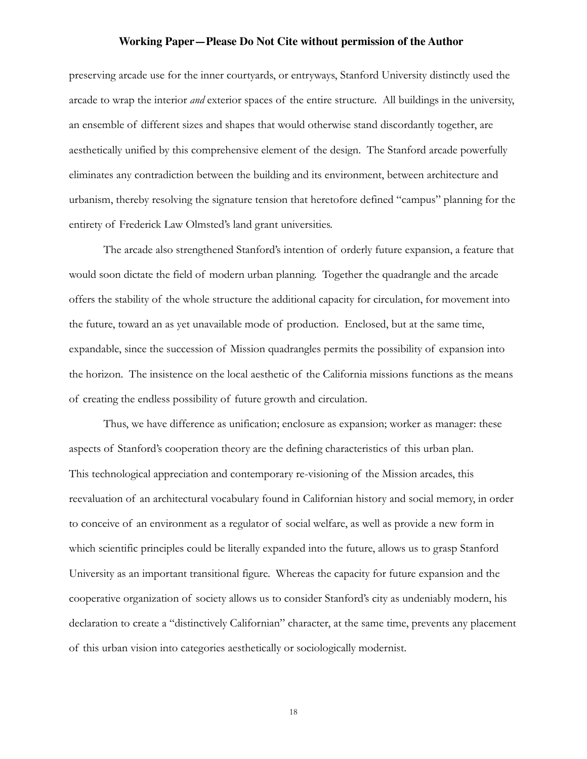preserving arcade use for the inner courtyards, or entryways, Stanford University distinctly used the arcade to wrap the interior *and* exterior spaces of the entire structure. All buildings in the university, an ensemble of different sizes and shapes that would otherwise stand discordantly together, are aesthetically unified by this comprehensive element of the design. The Stanford arcade powerfully eliminates any contradiction between the building and its environment, between architecture and urbanism, thereby resolving the signature tension that heretofore defined "campus" planning for the entirety of Frederick Law Olmsted's land grant universities.

The arcade also strengthened Stanford's intention of orderly future expansion, a feature that would soon dictate the field of modern urban planning. Together the quadrangle and the arcade offers the stability of the whole structure the additional capacity for circulation, for movement into the future, toward an as yet unavailable mode of production. Enclosed, but at the same time, expandable, since the succession of Mission quadrangles permits the possibility of expansion into the horizon. The insistence on the local aesthetic of the California missions functions as the means of creating the endless possibility of future growth and circulation.

Thus, we have difference as unification; enclosure as expansion; worker as manager: these aspects of Stanford's cooperation theory are the defining characteristics of this urban plan. This technological appreciation and contemporary re-visioning of the Mission arcades, this reevaluation of an architectural vocabulary found in Californian history and social memory, in order to conceive of an environment as a regulator of social welfare, as well as provide a new form in which scientific principles could be literally expanded into the future, allows us to grasp Stanford University as an important transitional figure. Whereas the capacity for future expansion and the cooperative organization of society allows us to consider Stanford's city as undeniably modern, his declaration to create a "distinctively Californian" character, at the same time, prevents any placement of this urban vision into categories aesthetically or sociologically modernist.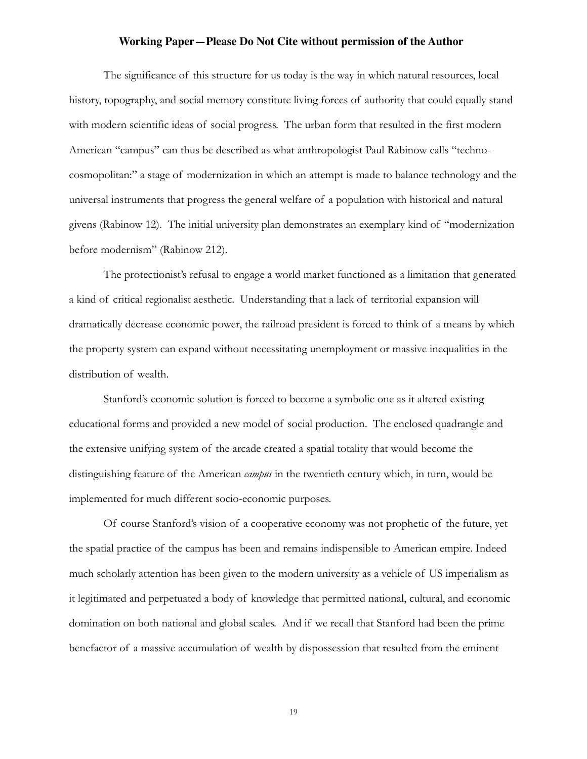The significance of this structure for us today is the way in which natural resources, local history, topography, and social memory constitute living forces of authority that could equally stand with modern scientific ideas of social progress. The urban form that resulted in the first modern American "campus" can thus be described as what anthropologist Paul Rabinow calls "technocosmopolitan:" a stage of modernization in which an attempt is made to balance technology and the universal instruments that progress the general welfare of a population with historical and natural givens (Rabinow 12). The initial university plan demonstrates an exemplary kind of "modernization before modernism" (Rabinow 212).

The protectionist's refusal to engage a world market functioned as a limitation that generated a kind of critical regionalist aesthetic. Understanding that a lack of territorial expansion will dramatically decrease economic power, the railroad president is forced to think of a means by which the property system can expand without necessitating unemployment or massive inequalities in the distribution of wealth.

Stanford's economic solution is forced to become a symbolic one as it altered existing educational forms and provided a new model of social production. The enclosed quadrangle and the extensive unifying system of the arcade created a spatial totality that would become the distinguishing feature of the American *campus* in the twentieth century which, in turn, would be implemented for much different socio-economic purposes.

 Of course Stanford's vision of a cooperative economy was not prophetic of the future, yet the spatial practice of the campus has been and remains indispensible to American empire. Indeed much scholarly attention has been given to the modern university as a vehicle of US imperialism as it legitimated and perpetuated a body of knowledge that permitted national, cultural, and economic domination on both national and global scales. And if we recall that Stanford had been the prime benefactor of a massive accumulation of wealth by dispossession that resulted from the eminent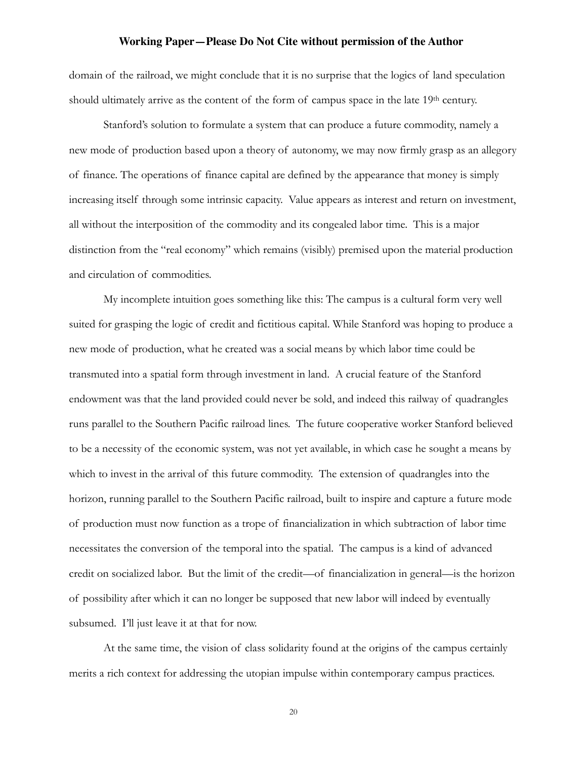domain of the railroad, we might conclude that it is no surprise that the logics of land speculation should ultimately arrive as the content of the form of campus space in the late 19<sup>th</sup> century.

Stanford's solution to formulate a system that can produce a future commodity, namely a new mode of production based upon a theory of autonomy, we may now firmly grasp as an allegory of finance. The operations of finance capital are defined by the appearance that money is simply increasing itself through some intrinsic capacity. Value appears as interest and return on investment, all without the interposition of the commodity and its congealed labor time. This is a major distinction from the "real economy" which remains (visibly) premised upon the material production and circulation of commodities.

My incomplete intuition goes something like this: The campus is a cultural form very well suited for grasping the logic of credit and fictitious capital. While Stanford was hoping to produce a new mode of production, what he created was a social means by which labor time could be transmuted into a spatial form through investment in land. A crucial feature of the Stanford endowment was that the land provided could never be sold, and indeed this railway of quadrangles runs parallel to the Southern Pacific railroad lines. The future cooperative worker Stanford believed to be a necessity of the economic system, was not yet available, in which case he sought a means by which to invest in the arrival of this future commodity. The extension of quadrangles into the horizon, running parallel to the Southern Pacific railroad, built to inspire and capture a future mode of production must now function as a trope of financialization in which subtraction of labor time necessitates the conversion of the temporal into the spatial. The campus is a kind of advanced credit on socialized labor. But the limit of the credit—of financialization in general—is the horizon of possibility after which it can no longer be supposed that new labor will indeed by eventually subsumed. I'll just leave it at that for now.

 At the same time, the vision of class solidarity found at the origins of the campus certainly merits a rich context for addressing the utopian impulse within contemporary campus practices.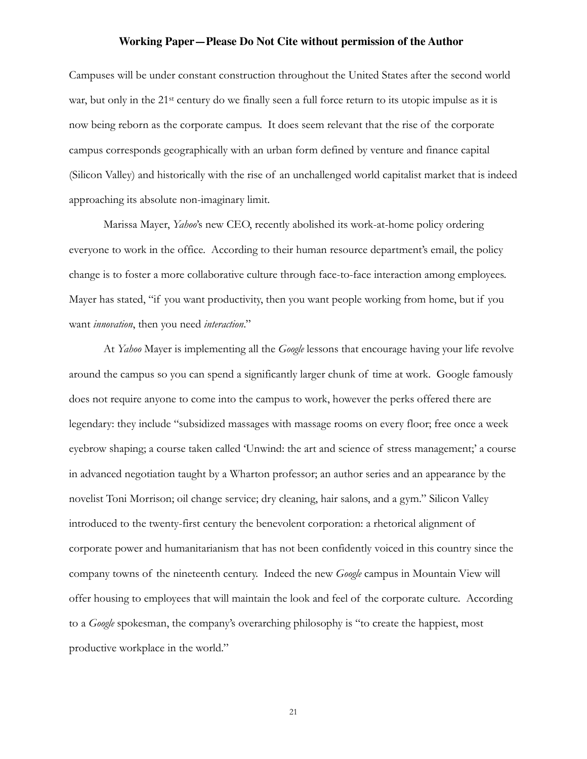Campuses will be under constant construction throughout the United States after the second world war, but only in the 21<sup>st</sup> century do we finally seen a full force return to its utopic impulse as it is now being reborn as the corporate campus. It does seem relevant that the rise of the corporate campus corresponds geographically with an urban form defined by venture and finance capital (Silicon Valley) and historically with the rise of an unchallenged world capitalist market that is indeed approaching its absolute non-imaginary limit.

 Marissa Mayer, *Yahoo*'s new CEO, recently abolished its work-at-home policy ordering everyone to work in the office. According to their human resource department's email, the policy change is to foster a more collaborative culture through face-to-face interaction among employees. Mayer has stated, "if you want productivity, then you want people working from home, but if you want *innovation*, then you need *interaction*."

At *Yahoo* Mayer is implementing all the *Google* lessons that encourage having your life revolve around the campus so you can spend a significantly larger chunk of time at work. Google famously does not require anyone to come into the campus to work, however the perks offered there are legendary: they include "subsidized massages with massage rooms on every floor; free once a week eyebrow shaping; a course taken called 'Unwind: the art and science of stress management;' a course in advanced negotiation taught by a Wharton professor; an author series and an appearance by the novelist Toni Morrison; oil change service; dry cleaning, hair salons, and a gym." Silicon Valley introduced to the twenty-first century the benevolent corporation: a rhetorical alignment of corporate power and humanitarianism that has not been confidently voiced in this country since the company towns of the nineteenth century. Indeed the new *Google* campus in Mountain View will offer housing to employees that will maintain the look and feel of the corporate culture. According to a *Google* spokesman, the company's overarching philosophy is "to create the happiest, most productive workplace in the world."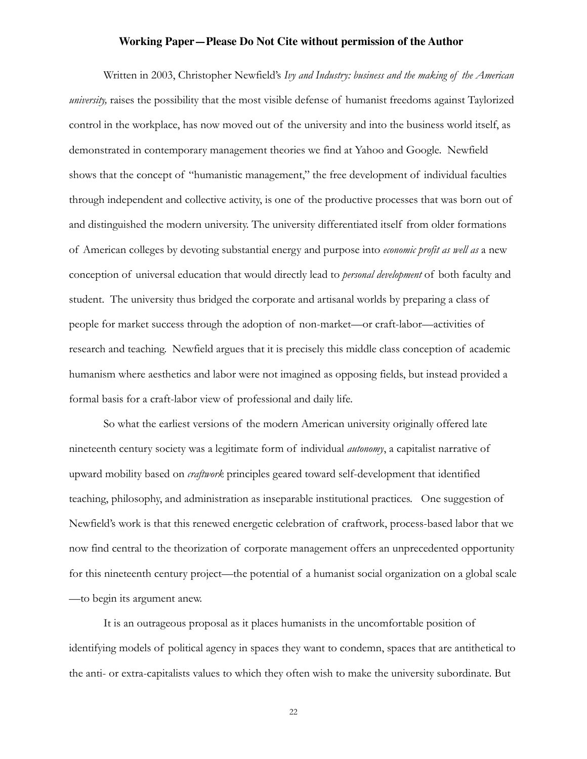Written in 2003, Christopher Newfield's *Ivy and Industry: business and the making of the American university,* raises the possibility that the most visible defense of humanist freedoms against Taylorized control in the workplace, has now moved out of the university and into the business world itself, as demonstrated in contemporary management theories we find at Yahoo and Google. Newfield shows that the concept of "humanistic management," the free development of individual faculties through independent and collective activity, is one of the productive processes that was born out of and distinguished the modern university. The university differentiated itself from older formations of American colleges by devoting substantial energy and purpose into *economic profit as well as* a new conception of universal education that would directly lead to *personal development* of both faculty and student. The university thus bridged the corporate and artisanal worlds by preparing a class of people for market success through the adoption of non-market—or craft-labor—activities of research and teaching. Newfield argues that it is precisely this middle class conception of academic humanism where aesthetics and labor were not imagined as opposing fields, but instead provided a formal basis for a craft-labor view of professional and daily life.

So what the earliest versions of the modern American university originally offered late nineteenth century society was a legitimate form of individual *autonomy*, a capitalist narrative of upward mobility based on *craftwork* principles geared toward self-development that identified teaching, philosophy, and administration as inseparable institutional practices. One suggestion of Newfield's work is that this renewed energetic celebration of craftwork, process-based labor that we now find central to the theorization of corporate management offers an unprecedented opportunity for this nineteenth century project—the potential of a humanist social organization on a global scale —to begin its argument anew.

 It is an outrageous proposal as it places humanists in the uncomfortable position of identifying models of political agency in spaces they want to condemn, spaces that are antithetical to the anti- or extra-capitalists values to which they often wish to make the university subordinate. But